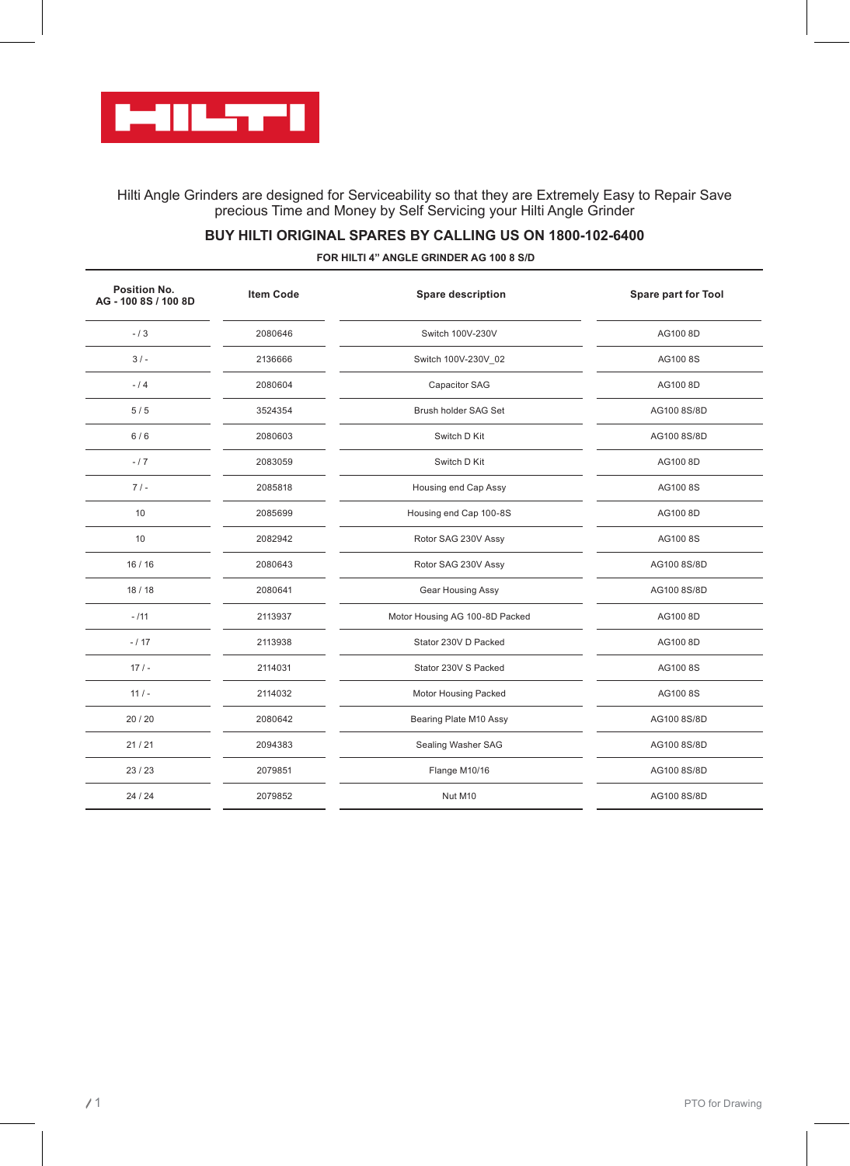

Hilti Angle Grinders are designed for Serviceability so that they are Extremely Easy to Repair Save precious Time and Money by Self Servicing your Hilti Angle Grinder

## **BUY HILTI ORIGINAL SPARES BY CALLING US ON 1800-102-6400**

**FOR HILTI 4" ANGLE GRINDER AG 100 8 S/D**

| <b>Item Code</b> | <b>Spare description</b>       | Spare part for Tool |
|------------------|--------------------------------|---------------------|
| 2080646          | Switch 100V-230V               | AG100 8D            |
| 2136666          | Switch 100V-230V_02            | AG1008S             |
| 2080604          | Capacitor SAG                  | AG100 8D            |
| 3524354          | Brush holder SAG Set           | AG100 8S/8D         |
| 2080603          | Switch D Kit                   | AG100 8S/8D         |
| 2083059          | Switch D Kit                   | AG100 8D            |
| 2085818          | Housing end Cap Assy           | AG1008S             |
| 2085699          | Housing end Cap 100-8S         | AG100 8D            |
| 2082942          | Rotor SAG 230V Assy            | AG1008S             |
| 2080643          | Rotor SAG 230V Assy            | AG100 8S/8D         |
| 2080641          | Gear Housing Assy              | AG100 8S/8D         |
| 2113937          | Motor Housing AG 100-8D Packed | AG100 8D            |
| 2113938          | Stator 230V D Packed           | AG100 8D            |
| 2114031          | Stator 230V S Packed           | AG1008S             |
| 2114032          | Motor Housing Packed           | AG1008S             |
| 2080642          | Bearing Plate M10 Assy         | AG100 8S/8D         |
| 2094383          | Sealing Washer SAG             | AG100 8S/8D         |
| 2079851          | Flange M10/16                  | AG100 8S/8D         |
| 2079852          | Nut M10                        | AG100 8S/8D         |
|                  |                                |                     |